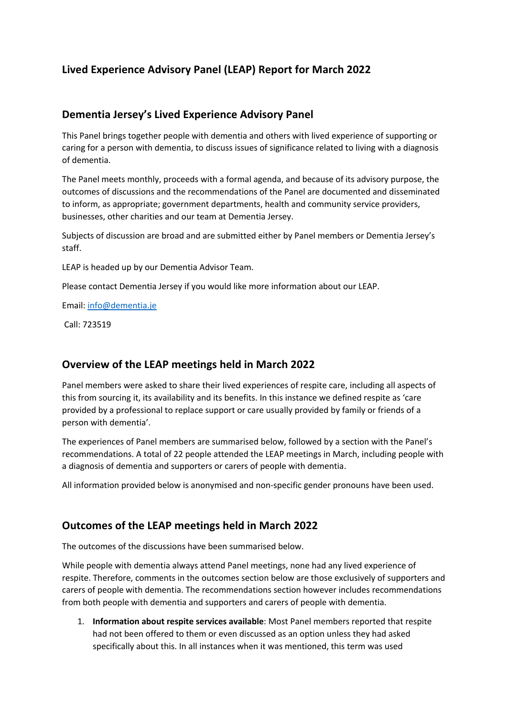# **Lived Experience Advisory Panel (LEAP) Report for March 2022**

#### **Dementia Jersey's Lived Experience Advisory Panel**

This Panel brings together people with dementia and others with lived experience of supporting or caring for a person with dementia, to discuss issues of significance related to living with a diagnosis of dementia.

The Panel meets monthly, proceeds with a formal agenda, and because of its advisory purpose, the outcomes of discussions and the recommendations of the Panel are documented and disseminated to inform, as appropriate; government departments, health and community service providers, businesses, other charities and our team at Dementia Jersey.

Subjects of discussion are broad and are submitted either by Panel members or Dementia Jersey's staff.

LEAP is headed up by our Dementia Advisor Team.

Please contact Dementia Jersey if you would like more information about our LEAP.

Email: info@dementia.je

Call: 723519

## **Overview of the LEAP meetings held in March 2022**

Panel members were asked to share their lived experiences of respite care, including all aspects of this from sourcing it, its availability and its benefits. In this instance we defined respite as 'care provided by a professional to replace support or care usually provided by family or friends of a person with dementia'.

The experiences of Panel members are summarised below, followed by a section with the Panel's recommendations. A total of 22 people attended the LEAP meetings in March, including people with a diagnosis of dementia and supporters or carers of people with dementia.

All information provided below is anonymised and non-specific gender pronouns have been used.

## **Outcomes of the LEAP meetings held in March 2022**

The outcomes of the discussions have been summarised below.

While people with dementia always attend Panel meetings, none had any lived experience of respite. Therefore, comments in the outcomes section below are those exclusively of supporters and carers of people with dementia. The recommendations section however includes recommendations from both people with dementia and supporters and carers of people with dementia.

1. **Information about respite services available**: Most Panel members reported that respite had not been offered to them or even discussed as an option unless they had asked specifically about this. In all instances when it was mentioned, this term was used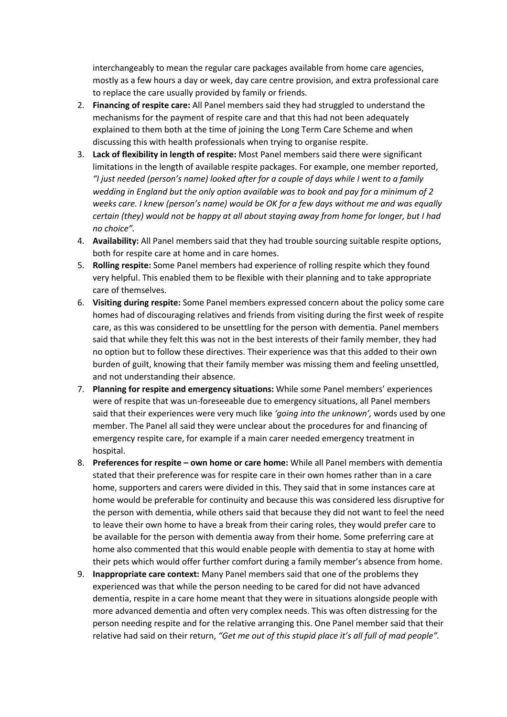interchangeably to mean the regular care packages available from home care agencies, mostly as a few hours a day or week, day care centre provision, and extra professional care to replace the care usually provided by family or friends.

- 2. **Financing of respite care:** All Panel members said they had struggled to understand the mechanisms for the payment of respite care and that this had not been adequately explained to them both at the time of joining the Long Term Care Scheme and when discussing this with health professionals when trying to organise respite.
- 3. **Lack of flexibility in length of respite:** Most Panel members said there were significant limitations in the length of available respite packages. For example, one member reported, *"I just needed (person's name) looked after for a couple of days while I went to a family wedding in England but the only option available was to book and pay for a minimum of 2 weeks care. I knew (person's name) would be OK for a few days without me and was equally certain (they) would not be happy at all about staying away from home for longer, but I had no choice".*
- 4. **Availability:** All Panel members said that they had trouble sourcing suitable respite options, both for respite care at home and in care homes.
- 5. **Rolling respite:** Some Panel members had experience of rolling respite which they found very helpful. This enabled them to be flexible with their planning and to take appropriate care of themselves.
- 6. **Visiting during respite:** Some Panel members expressed concern about the policy some care homes had of discouraging relatives and friends from visiting during the first week of respite care, as this was considered to be unsettling for the person with dementia. Panel members said that while they felt this was not in the best interests of their family member, they had no option but to follow these directives. Their experience was that this added to their own burden of guilt, knowing that their family member was missing them and feeling unsettled, and not understanding their absence.
- 7. **Planning for respite and emergency situations:** While some Panel members' experiences were of respite that was un-foreseeable due to emergency situations, all Panel members said that their experiences were very much like *'going into the unknown',* words used by one member. The Panel all said they were unclear about the procedures for and financing of emergency respite care, for example if a main carer needed emergency treatment in hospital.
- 8. **Preferences for respite – own home or care home:** While all Panel members with dementia stated that their preference was for respite care in their own homes rather than in a care home, supporters and carers were divided in this. They said that in some instances care at home would be preferable for continuity and because this was considered less disruptive for the person with dementia, while others said that because they did not want to feel the need to leave their own home to have a break from their caring roles, they would prefer care to be available for the person with dementia away from their home. Some preferring care at home also commented that this would enable people with dementia to stay at home with their pets which would offer further comfort during a family member's absence from home.
- 9. **Inappropriate care context:** Many Panel members said that one of the problems they experienced was that while the person needing to be cared for did not have advanced dementia, respite in a care home meant that they were in situations alongside people with more advanced dementia and often very complex needs. This was often distressing for the person needing respite and for the relative arranging this. One Panel member said that their relative had said on their return, *"Get me out of this stupid place it's all full of mad people".*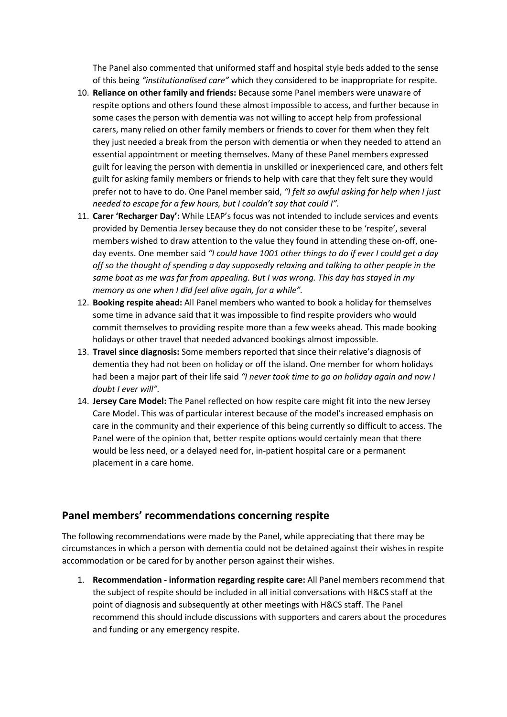The Panel also commented that uniformed staff and hospital style beds added to the sense of this being *"institutionalised care"* which they considered to be inappropriate for respite.

- 10. **Reliance on other family and friends:** Because some Panel members were unaware of respite options and others found these almost impossible to access, and further because in some cases the person with dementia was not willing to accept help from professional carers, many relied on other family members or friends to cover for them when they felt they just needed a break from the person with dementia or when they needed to attend an essential appointment or meeting themselves. Many of these Panel members expressed guilt for leaving the person with dementia in unskilled or inexperienced care, and others felt guilt for asking family members or friends to help with care that they felt sure they would prefer not to have to do. One Panel member said, *"I felt so awful asking for help when I just needed to escape for a few hours, but I couldn't say that could I".*
- 11. **Carer 'Recharger Day':** While LEAP's focus was not intended to include services and events provided by Dementia Jersey because they do not consider these to be 'respite', several members wished to draw attention to the value they found in attending these on-off, oneday events. One member said *"I could have 1001 other things to do if ever I could get a day off so the thought of spending a day supposedly relaxing and talking to other people in the same boat as me was far from appealing. But I was wrong. This day has stayed in my memory as one when I did feel alive again, for a while".*
- 12. **Booking respite ahead:** All Panel members who wanted to book a holiday for themselves some time in advance said that it was impossible to find respite providers who would commit themselves to providing respite more than a few weeks ahead. This made booking holidays or other travel that needed advanced bookings almost impossible.
- 13. **Travel since diagnosis:** Some members reported that since their relative's diagnosis of dementia they had not been on holiday or off the island. One member for whom holidays had been a major part of their life said *"I never took time to go on holiday again and now I doubt I ever will".*
- 14. **Jersey Care Model:** The Panel reflected on how respite care might fit into the new Jersey Care Model. This was of particular interest because of the model's increased emphasis on care in the community and their experience of this being currently so difficult to access. The Panel were of the opinion that, better respite options would certainly mean that there would be less need, or a delayed need for, in-patient hospital care or a permanent placement in a care home.

#### **Panel members' recommendations concerning respite**

The following recommendations were made by the Panel, while appreciating that there may be circumstances in which a person with dementia could not be detained against their wishes in respite accommodation or be cared for by another person against their wishes.

1. **Recommendation - information regarding respite care:** All Panel members recommend that the subject of respite should be included in all initial conversations with H&CS staff at the point of diagnosis and subsequently at other meetings with H&CS staff. The Panel recommend this should include discussions with supporters and carers about the procedures and funding or any emergency respite.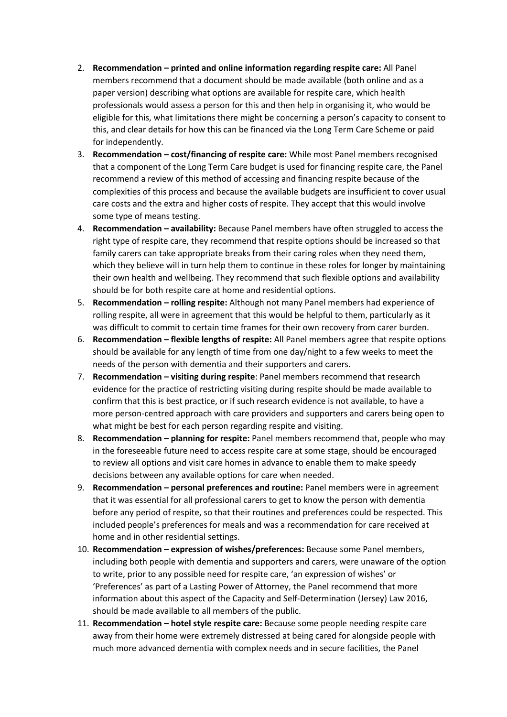- 2. **Recommendation – printed and online information regarding respite care:** All Panel members recommend that a document should be made available (both online and as a paper version) describing what options are available for respite care, which health professionals would assess a person for this and then help in organising it, who would be eligible for this, what limitations there might be concerning a person's capacity to consent to this, and clear details for how this can be financed via the Long Term Care Scheme or paid for independently.
- 3. **Recommendation – cost/financing of respite care:** While most Panel members recognised that a component of the Long Term Care budget is used for financing respite care, the Panel recommend a review of this method of accessing and financing respite because of the complexities of this process and because the available budgets are insufficient to cover usual care costs and the extra and higher costs of respite. They accept that this would involve some type of means testing.
- 4. **Recommendation – availability:** Because Panel members have often struggled to access the right type of respite care, they recommend that respite options should be increased so that family carers can take appropriate breaks from their caring roles when they need them, which they believe will in turn help them to continue in these roles for longer by maintaining their own health and wellbeing. They recommend that such flexible options and availability should be for both respite care at home and residential options.
- 5. **Recommendation – rolling respite:** Although not many Panel members had experience of rolling respite, all were in agreement that this would be helpful to them, particularly as it was difficult to commit to certain time frames for their own recovery from carer burden.
- 6. **Recommendation – flexible lengths of respite:** All Panel members agree that respite options should be available for any length of time from one day/night to a few weeks to meet the needs of the person with dementia and their supporters and carers.
- 7. **Recommendation – visiting during respite**: Panel members recommend that research evidence for the practice of restricting visiting during respite should be made available to confirm that this is best practice, or if such research evidence is not available, to have a more person-centred approach with care providers and supporters and carers being open to what might be best for each person regarding respite and visiting.
- 8. **Recommendation – planning for respite:** Panel members recommend that, people who may in the foreseeable future need to access respite care at some stage, should be encouraged to review all options and visit care homes in advance to enable them to make speedy decisions between any available options for care when needed.
- 9. **Recommendation – personal preferences and routine:** Panel members were in agreement that it was essential for all professional carers to get to know the person with dementia before any period of respite, so that their routines and preferences could be respected. This included people's preferences for meals and was a recommendation for care received at home and in other residential settings.
- 10. **Recommendation – expression of wishes/preferences:** Because some Panel members, including both people with dementia and supporters and carers, were unaware of the option to write, prior to any possible need for respite care, 'an expression of wishes' or 'Preferences' as part of a Lasting Power of Attorney, the Panel recommend that more information about this aspect of the Capacity and Self-Determination (Jersey) Law 2016, should be made available to all members of the public.
- 11. **Recommendation – hotel style respite care:** Because some people needing respite care away from their home were extremely distressed at being cared for alongside people with much more advanced dementia with complex needs and in secure facilities, the Panel